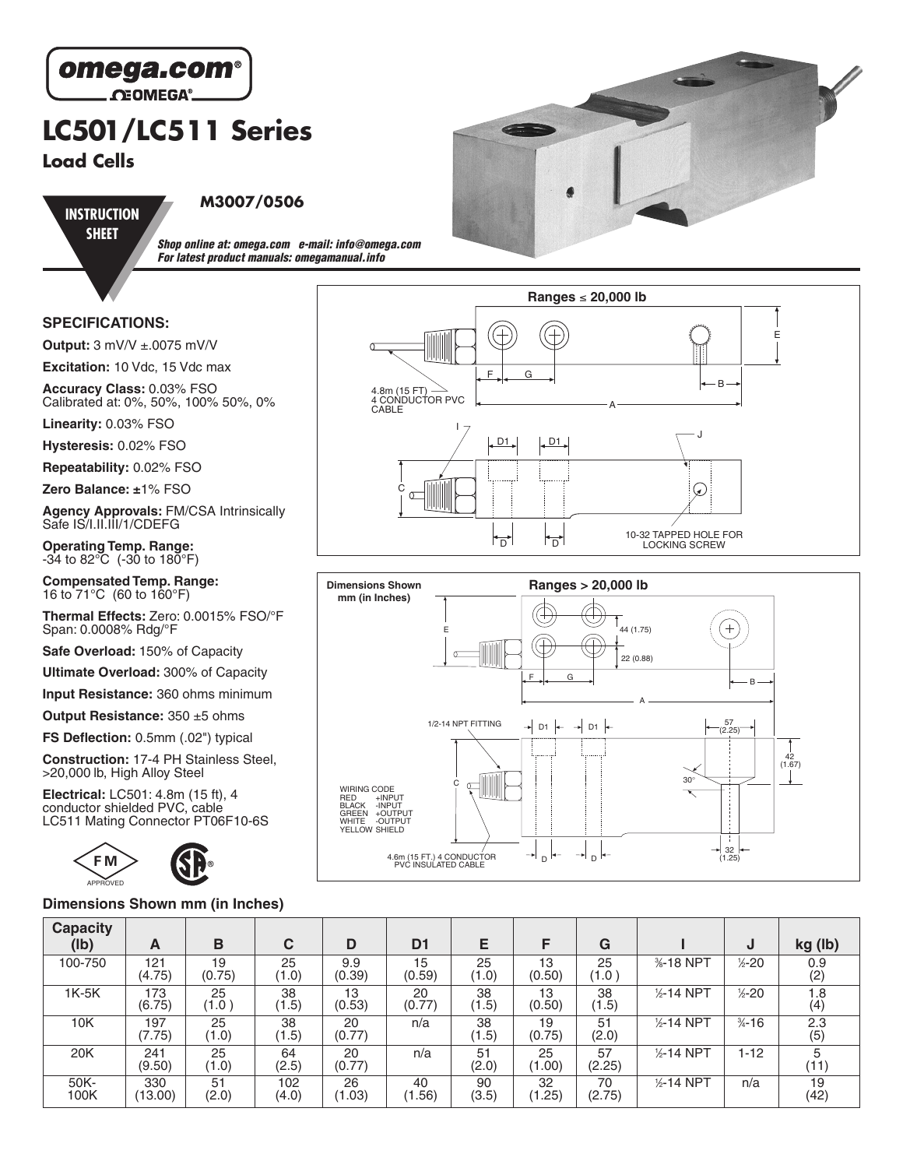

# **LC501/LC511 Series**

**Load Cells**

**INSTRUCTION SHEET**

### **M3007/0506**

**Shop online at: omega.com e-mail: info@omega.com For latest product manuals: omegamanual.info**

#### **SPECIFICATIONS:**

**Output:** 3 mV/V ±.0075 mV/V

**Excitation:** 10 Vdc, 15 Vdc max

**Accuracy Class:** 0.03% FSO Calibrated at: 0%, 50%, 100% 50%, 0%

**Linearity:** 0.03% FSO

**Hysteresis:** 0.02% FSO

**Repeatability:** 0.02% FSO

**Zero Balance: ±**1% FSO

**Agency Approvals:** FM/CSA Intrinsically Safe IS/I.II.III/1/CDEFG

**Operating Temp. Range:**  $-34$  to 82 $\degree$ C ( $-30$  to 180 $\degree$ F)

**Compensated Temp. Range:** 16 to 71°C (60 to 160°F)

**Thermal Effects:** Zero: 0.0015% FSO/°F Span: 0.0008% Rdg/°F

**Safe Overload:** 150% of Capacity

**Ultimate Overload:** 300% of Capacity

**Input Resistance:** 360 ohms minimum

**Output Resistance:** 350 ±5 ohms

**FS Deflection:** 0.5mm (.02") typical

**Construction:** 17-4 PH Stainless Steel, >20,000 lb, High Alloy Steel

**Electrical:** LC501: 4.8m (15 ft), 4 conductor shielded PVC, cable



#### **Dimensions Shown mm (in Inches)**







| <b>Capacity</b><br>(lb) | A              | в            | С            | D             | D <sub>1</sub> | Е           | F            | G            |                       | J                  | kg (lb)    |
|-------------------------|----------------|--------------|--------------|---------------|----------------|-------------|--------------|--------------|-----------------------|--------------------|------------|
| 100-750                 | 121<br>(4.75)  | 19<br>(0.75) | 25<br>(1.0)  | 9.9<br>(0.39) | 15<br>(0.59)   | 25<br>(1.0) | 13<br>(0.50) | 25<br>(1.0)  | %-18 NPT              | $\frac{1}{2} - 20$ | 0.9<br>(2) |
| $1K-5K$                 | 173<br>(6.75)  | 25<br>(1.0)  | 38<br>(1.5)  | 13<br>(0.53)  | 20<br>(0.77)   | 38<br>(1.5) | 13<br>(0.50) | 38<br>(1.5)  | $\frac{1}{2}$ -14 NPT | $\frac{1}{2} - 20$ | 1.8<br>(4) |
| 10K                     | 197<br>(7.75)  | 25<br>(1.0)  | 38<br>(1.5)  | 20<br>(0.77)  | n/a            | 38<br>(1.5) | 19<br>(0.75) | 51<br>(2.0)  | $1/2$ -14 NPT         | $\frac{3}{4} - 16$ | 2.3<br>(5) |
| 20K                     | 241<br>(9.50)  | 25<br>(1.0)  | 64<br>(2.5)  | 20<br>(0.77)  | n/a            | 51<br>(2.0) | 25<br>(1.00) | 57<br>(2.25) | $1/2 - 14$ NPT        | 1-12               | 5<br>(11)  |
| 50K-<br>100K            | 330<br>(13.00) | 51<br>(2.0)  | 102<br>(4.0) | 26<br>(1.03)  | 40<br>(1.56)   | 90<br>(3.5) | 32<br>(1.25) | 70<br>(2.75) | $1/2 - 14$ NPT        | n/a                | 19<br>(42) |